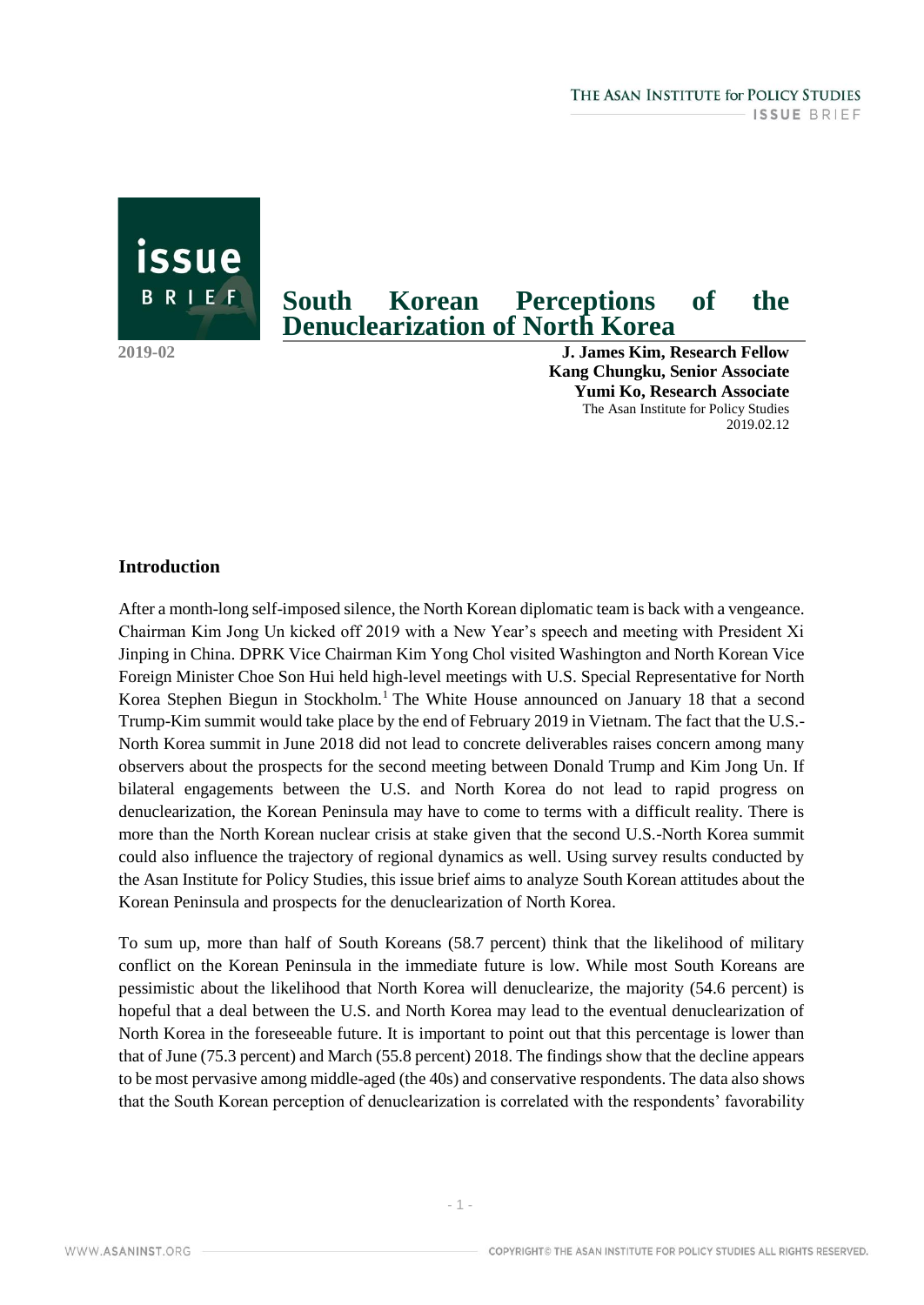BRIEF

issue

# **South Korean Perceptions of the Denuclearization of North Korea**

**2019-02 J. James Kim, Research Fellow Kang Chungku, Senior Associate Yumi Ko, Research Associate** The Asan Institute for Policy Studies 2019.02.12

## **Introduction**

After a month-long self-imposed silence, the North Korean diplomatic team is back with a vengeance. Chairman Kim Jong Un kicked off 2019 with a New Year's speech and meeting with President Xi Jinping in China. DPRK Vice Chairman Kim Yong Chol visited Washington and North Korean Vice Foreign Minister Choe Son Hui held high-level meetings with U.S. Special Representative for North Korea Stephen Biegun in Stockholm.<sup>1</sup> The White House announced on January 18 that a second Trump-Kim summit would take place by the end of February 2019 in Vietnam. The fact that the U.S.- North Korea summit in June 2018 did not lead to concrete deliverables raises concern among many observers about the prospects for the second meeting between Donald Trump and Kim Jong Un. If bilateral engagements between the U.S. and North Korea do not lead to rapid progress on denuclearization, the Korean Peninsula may have to come to terms with a difficult reality. There is more than the North Korean nuclear crisis at stake given that the second U.S.-North Korea summit could also influence the trajectory of regional dynamics as well. Using survey results conducted by the Asan Institute for Policy Studies, this issue brief aims to analyze South Korean attitudes about the Korean Peninsula and prospects for the denuclearization of North Korea.

To sum up, more than half of South Koreans (58.7 percent) think that the likelihood of military conflict on the Korean Peninsula in the immediate future is low. While most South Koreans are pessimistic about the likelihood that North Korea will denuclearize, the majority (54.6 percent) is hopeful that a deal between the U.S. and North Korea may lead to the eventual denuclearization of North Korea in the foreseeable future. It is important to point out that this percentage is lower than that of June (75.3 percent) and March (55.8 percent) 2018. The findings show that the decline appears to be most pervasive among middle-aged (the 40s) and conservative respondents. The data also shows that the South Korean perception of denuclearization is correlated with the respondents' favorability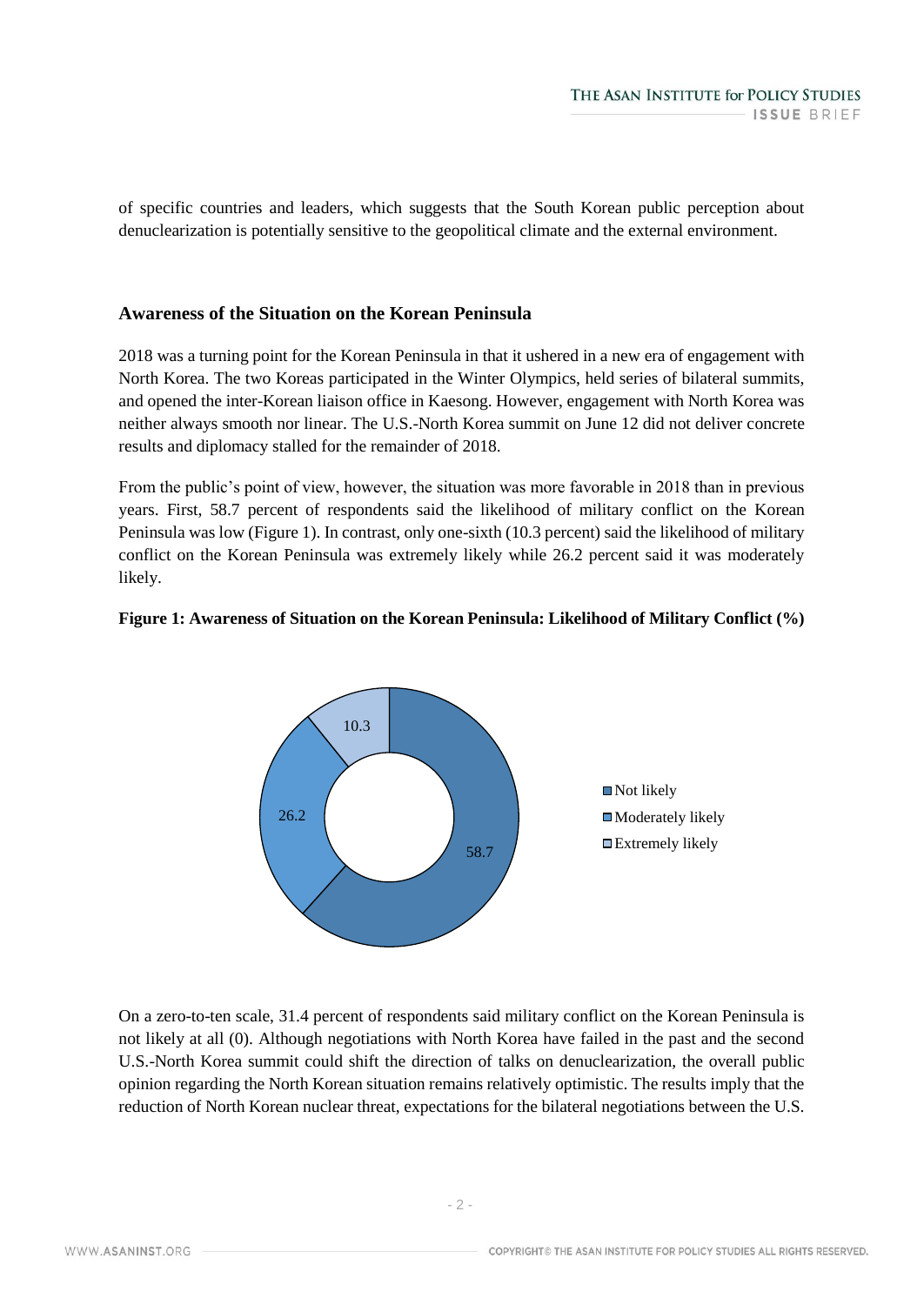of specific countries and leaders, which suggests that the South Korean public perception about denuclearization is potentially sensitive to the geopolitical climate and the external environment.

## **Awareness of the Situation on the Korean Peninsula**

2018 was a turning point for the Korean Peninsula in that it ushered in a new era of engagement with North Korea. The two Koreas participated in the Winter Olympics, held series of bilateral summits, and opened the inter-Korean liaison office in Kaesong. However, engagement with North Korea was neither always smooth nor linear. The U.S.-North Korea summit on June 12 did not deliver concrete results and diplomacy stalled for the remainder of 2018.

From the public's point of view, however, the situation was more favorable in 2018 than in previous years. First, 58.7 percent of respondents said the likelihood of military conflict on the Korean Peninsula was low (Figure 1). In contrast, only one-sixth (10.3 percent) said the likelihood of military conflict on the Korean Peninsula was extremely likely while 26.2 percent said it was moderately likely.

## **Figure 1: Awareness of Situation on the Korean Peninsula: Likelihood of Military Conflict (%)**



On a zero-to-ten scale, 31.4 percent of respondents said military conflict on the Korean Peninsula is not likely at all (0). Although negotiations with North Korea have failed in the past and the second U.S.-North Korea summit could shift the direction of talks on denuclearization, the overall public opinion regarding the North Korean situation remains relatively optimistic. The results imply that the reduction of North Korean nuclear threat, expectations for the bilateral negotiations between the U.S.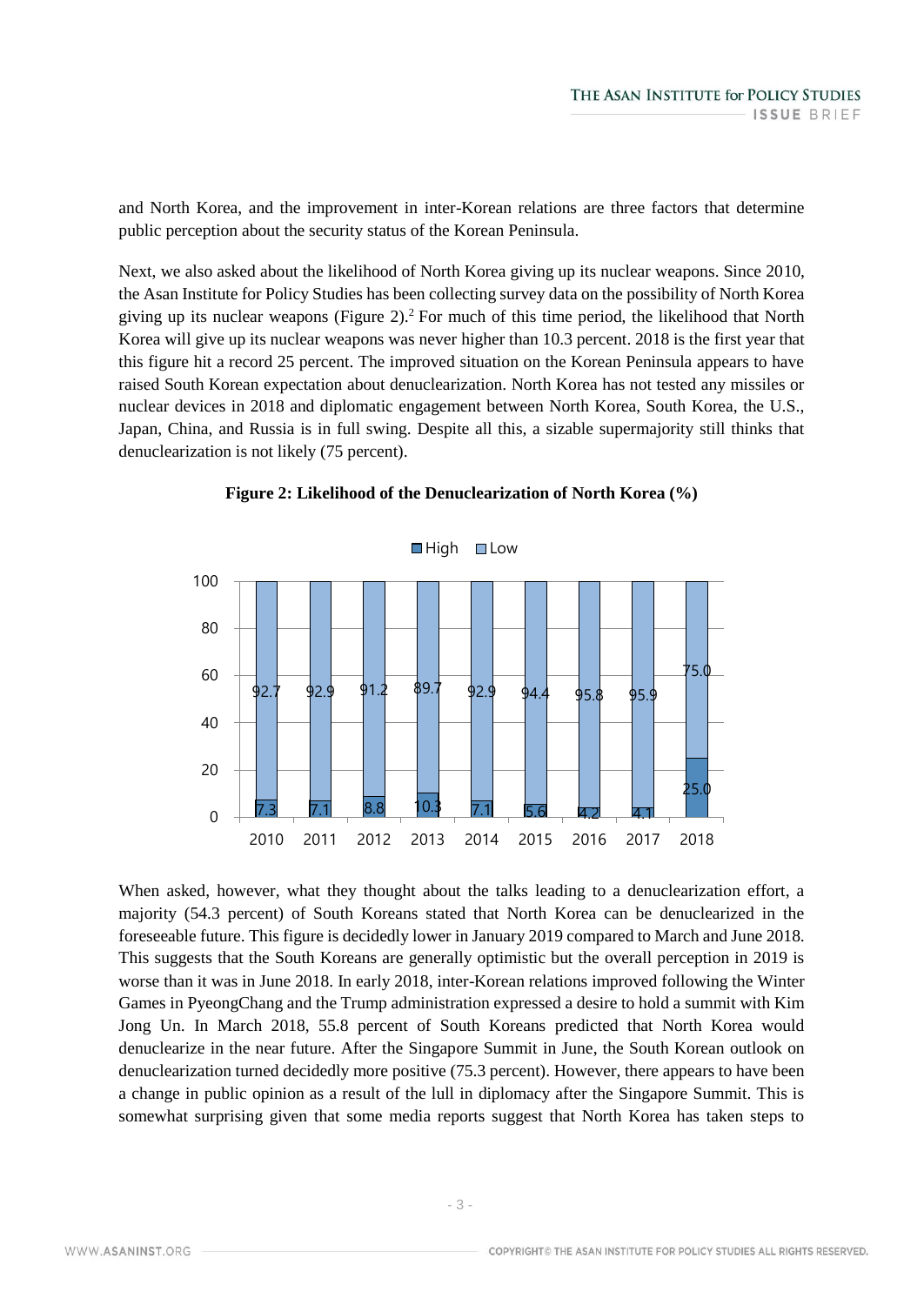and North Korea, and the improvement in inter-Korean relations are three factors that determine public perception about the security status of the Korean Peninsula.

Next, we also asked about the likelihood of North Korea giving up its nuclear weapons. Since 2010, the Asan Institute for Policy Studies has been collecting survey data on the possibility of North Korea giving up its nuclear weapons (Figure 2).<sup>2</sup> For much of this time period, the likelihood that North Korea will give up its nuclear weapons was never higher than 10.3 percent. 2018 is the first year that this figure hit a record 25 percent. The improved situation on the Korean Peninsula appears to have raised South Korean expectation about denuclearization. North Korea has not tested any missiles or nuclear devices in 2018 and diplomatic engagement between North Korea, South Korea, the U.S., Japan, China, and Russia is in full swing. Despite all this, a sizable supermajority still thinks that denuclearization is not likely (75 percent).



**Figure 2: Likelihood of the Denuclearization of North Korea (%)**

When asked, however, what they thought about the talks leading to a denuclearization effort, a majority (54.3 percent) of South Koreans stated that North Korea can be denuclearized in the foreseeable future. This figure is decidedly lower in January 2019 compared to March and June 2018. This suggests that the South Koreans are generally optimistic but the overall perception in 2019 is worse than it was in June 2018. In early 2018, inter-Korean relations improved following the Winter Games in PyeongChang and the Trump administration expressed a desire to hold a summit with Kim Jong Un. In March 2018, 55.8 percent of South Koreans predicted that North Korea would denuclearize in the near future. After the Singapore Summit in June, the South Korean outlook on denuclearization turned decidedly more positive (75.3 percent). However, there appears to have been a change in public opinion as a result of the lull in diplomacy after the Singapore Summit. This is somewhat surprising given that some media reports suggest that North Korea has taken steps to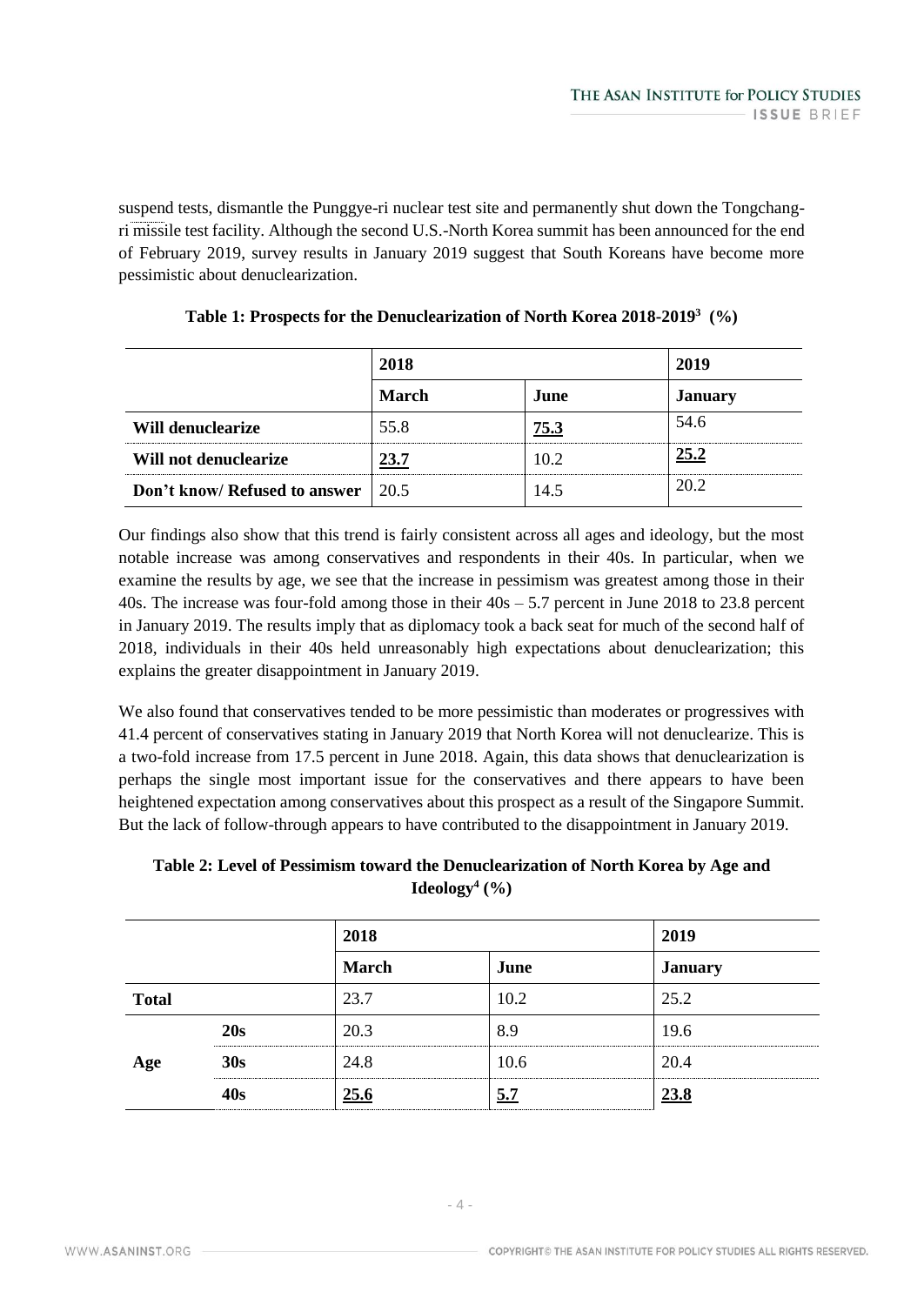suspend tests, dismantle the Punggye-ri nuclear test site and permanently shut down the Tongchangri missile test facility. Although the second U.S.-North Korea summit has been announced for the end of February 2019, survey results in January 2019 suggest that South Koreans have become more pessimistic about denuclearization.

|                                           | 2018  |      | 2019           |
|-------------------------------------------|-------|------|----------------|
|                                           | March | June | <b>January</b> |
| Will denuclearize                         | 55.8  | 75.3 | 54.6           |
| Will not denuclearize                     | 23.7  | 10.2 | 25.2           |
| <b>Don't know/ Refused to answer</b> 20.5 |       | 14.5 | 20.2           |

| Table 1: Prospects for the Denuclearization of North Korea 2018-2019 <sup>3</sup> (%) |  |  |  |  |  |  |  |
|---------------------------------------------------------------------------------------|--|--|--|--|--|--|--|
|---------------------------------------------------------------------------------------|--|--|--|--|--|--|--|

Our findings also show that this trend is fairly consistent across all ages and ideology, but the most notable increase was among conservatives and respondents in their 40s. In particular, when we examine the results by age, we see that the increase in pessimism was greatest among those in their 40s. The increase was four-fold among those in their 40s – 5.7 percent in June 2018 to 23.8 percent in January 2019. The results imply that as diplomacy took a back seat for much of the second half of 2018, individuals in their 40s held unreasonably high expectations about denuclearization; this explains the greater disappointment in January 2019.

We also found that conservatives tended to be more pessimistic than moderates or progressives with 41.4 percent of conservatives stating in January 2019 that North Korea will not denuclearize. This is a two-fold increase from 17.5 percent in June 2018. Again, this data shows that denuclearization is perhaps the single most important issue for the conservatives and there appears to have been heightened expectation among conservatives about this prospect as a result of the Singapore Summit. But the lack of follow-through appears to have contributed to the disappointment in January 2019.

## **Table 2: Level of Pessimism toward the Denuclearization of North Korea by Age and Ideology<sup>4</sup> (%)**

|              |         | 2018         |             |                |
|--------------|---------|--------------|-------------|----------------|
|              |         | <b>March</b> | June        | <b>January</b> |
| <b>Total</b> |         | 23.7         | 10.2        | 25.2           |
| Age          | 20s     | 20.3         | 8.9         | 19.6           |
|              | 30s     | 24.8         | 10.6        | 20.4           |
|              | <br>40s | <u>25.6</u>  | <br><br>5.7 | 23.8           |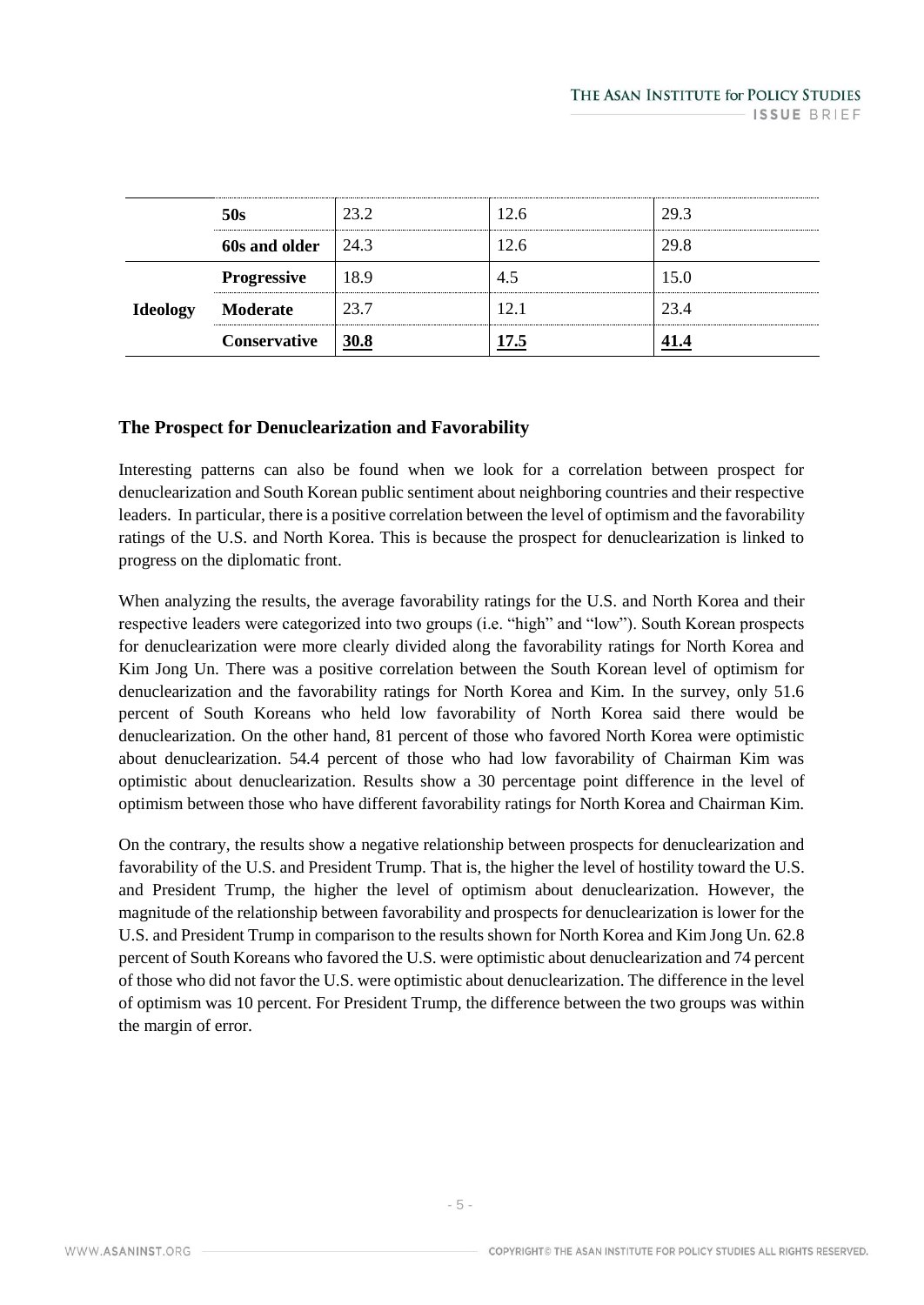|                 | 50s                        | 23.2 | 12.6 | 29.3 |  |
|-----------------|----------------------------|------|------|------|--|
|                 | 60s and older $\vert$ 24.3 |      | 12.6 | 29.8 |  |
| <b>Ideology</b> | <b>Progressive</b>         | 18.9 |      | 15.0 |  |
|                 | Moderate                   | 23.7 | 12.1 | 23.4 |  |
|                 | Conservative               | 30.8 |      |      |  |

## **The Prospect for Denuclearization and Favorability**

Interesting patterns can also be found when we look for a correlation between prospect for denuclearization and South Korean public sentiment about neighboring countries and their respective leaders. In particular, there is a positive correlation between the level of optimism and the favorability ratings of the U.S. and North Korea. This is because the prospect for denuclearization is linked to progress on the diplomatic front.

When analyzing the results, the average favorability ratings for the U.S. and North Korea and their respective leaders were categorized into two groups (i.e. "high" and "low"). South Korean prospects for denuclearization were more clearly divided along the favorability ratings for North Korea and Kim Jong Un. There was a positive correlation between the South Korean level of optimism for denuclearization and the favorability ratings for North Korea and Kim. In the survey, only 51.6 percent of South Koreans who held low favorability of North Korea said there would be denuclearization. On the other hand, 81 percent of those who favored North Korea were optimistic about denuclearization. 54.4 percent of those who had low favorability of Chairman Kim was optimistic about denuclearization. Results show a 30 percentage point difference in the level of optimism between those who have different favorability ratings for North Korea and Chairman Kim.

On the contrary, the results show a negative relationship between prospects for denuclearization and favorability of the U.S. and President Trump. That is, the higher the level of hostility toward the U.S. and President Trump, the higher the level of optimism about denuclearization. However, the magnitude of the relationship between favorability and prospects for denuclearization is lower for the U.S. and President Trump in comparison to the results shown for North Korea and Kim Jong Un. 62.8 percent of South Koreans who favored the U.S. were optimistic about denuclearization and 74 percent of those who did not favor the U.S. were optimistic about denuclearization. The difference in the level of optimism was 10 percent. For President Trump, the difference between the two groups was within the margin of error.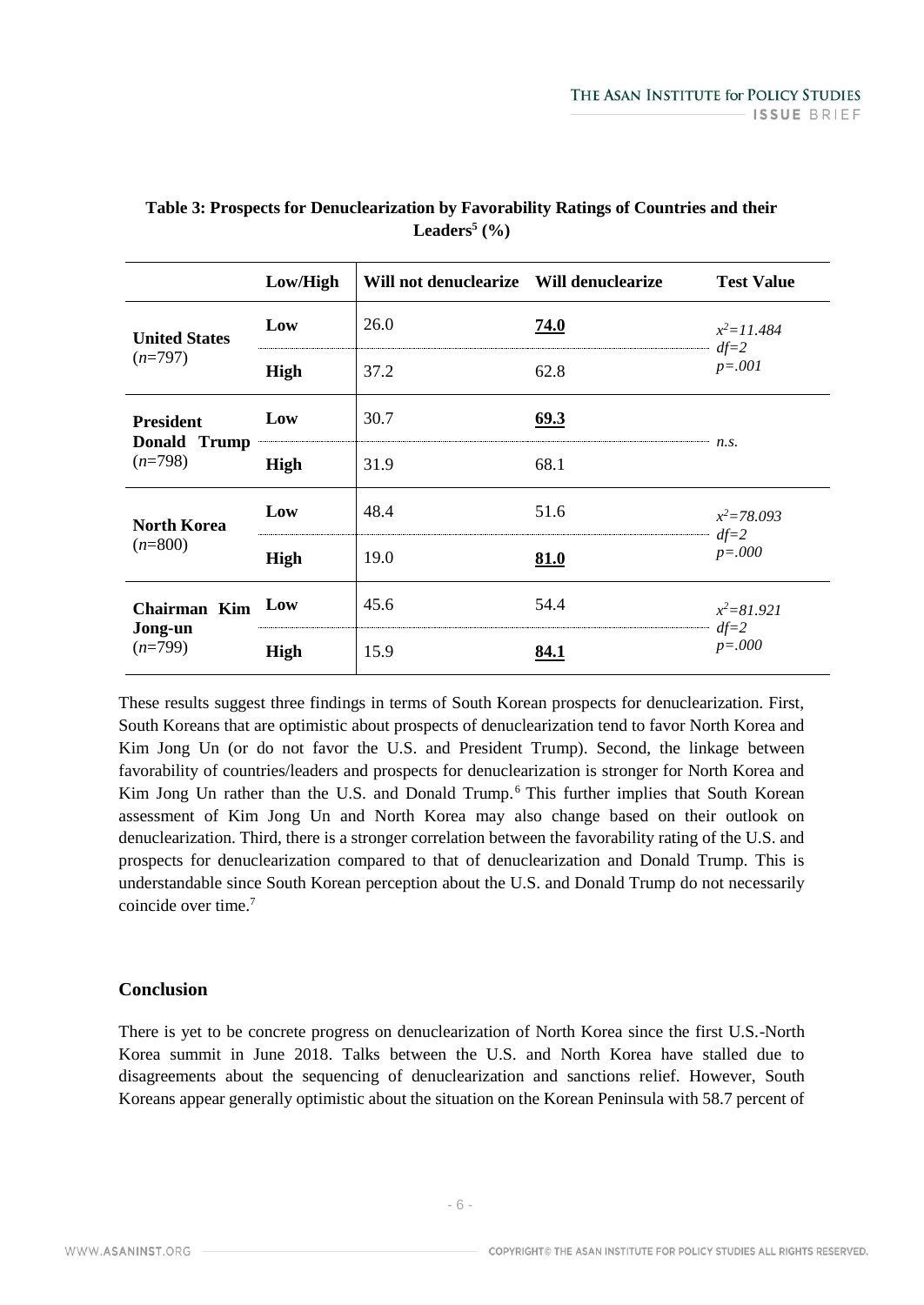|                                               | Low/High    | Will not denuclearize Will denuclearize |             | <b>Test Value</b>                    |  |
|-----------------------------------------------|-------------|-----------------------------------------|-------------|--------------------------------------|--|
| <b>United States</b><br>$(n=797)$             | Low         | 26.0                                    | 74.0        | $x^2 = 11.484$<br>$df=2$<br>$p=.001$ |  |
|                                               | <b>High</b> | 37.2                                    | 62.8        |                                      |  |
| <b>President</b><br>Donald Trump<br>$(n=798)$ | Low         | 30.7                                    | 69.3        |                                      |  |
|                                               | <b>High</b> | 31.9                                    | 68.1        | n.s.                                 |  |
| <b>North Korea</b><br>$(n=800)$               | Low         | 48.4                                    | 51.6        | $x^2 = 78.093$<br>$df=2$<br>$p=.000$ |  |
|                                               | <b>High</b> | 19.0                                    | <b>81.0</b> |                                      |  |
| Chairman Kim<br>Jong-un<br>$(n=799)$          | Low         | 45.6                                    | 54.4        | $x^2 = 81.921$                       |  |
|                                               | <b>High</b> | 15.9                                    | 84.1        | $df=2$<br>$p = .000$                 |  |

## **Table 3: Prospects for Denuclearization by Favorability Ratings of Countries and their Leaders<sup>5</sup> (%)**

These results suggest three findings in terms of South Korean prospects for denuclearization. First, South Koreans that are optimistic about prospects of denuclearization tend to favor North Korea and Kim Jong Un (or do not favor the U.S. and President Trump). Second, the linkage between favorability of countries/leaders and prospects for denuclearization is stronger for North Korea and Kim Jong Un rather than the U.S. and Donald Trump.<sup>6</sup> This further implies that South Korean assessment of Kim Jong Un and North Korea may also change based on their outlook on denuclearization. Third, there is a stronger correlation between the favorability rating of the U.S. and prospects for denuclearization compared to that of denuclearization and Donald Trump. This is understandable since South Korean perception about the U.S. and Donald Trump do not necessarily coincide over time.<sup>7</sup>

## **Conclusion**

There is yet to be concrete progress on denuclearization of North Korea since the first U.S.-North Korea summit in June 2018. Talks between the U.S. and North Korea have stalled due to disagreements about the sequencing of denuclearization and sanctions relief. However, South Koreans appear generally optimistic about the situation on the Korean Peninsula with 58.7 percent of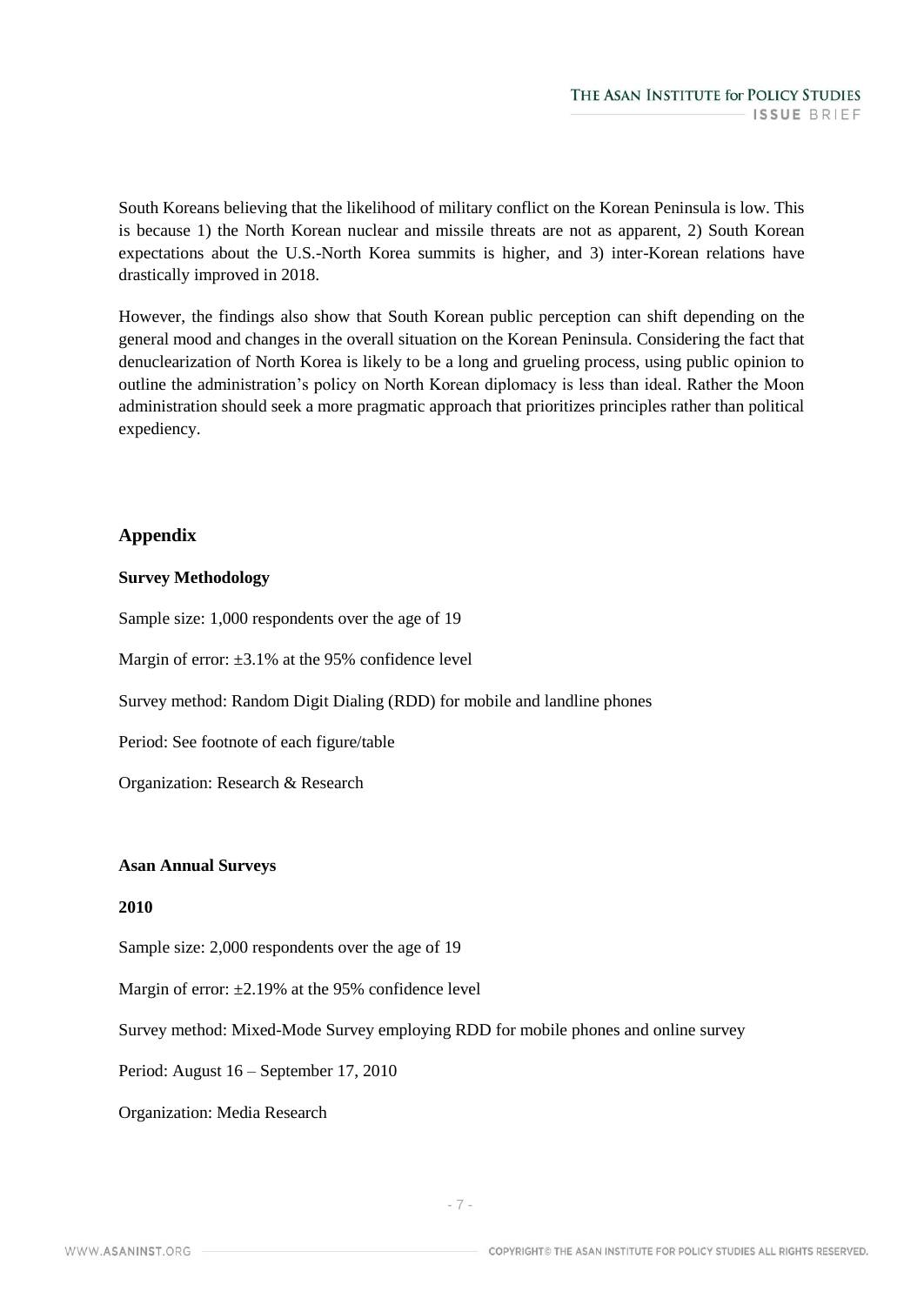South Koreans believing that the likelihood of military conflict on the Korean Peninsula is low. This is because 1) the North Korean nuclear and missile threats are not as apparent, 2) South Korean expectations about the U.S.-North Korea summits is higher, and 3) inter-Korean relations have drastically improved in 2018.

However, the findings also show that South Korean public perception can shift depending on the general mood and changes in the overall situation on the Korean Peninsula. Considering the fact that denuclearization of North Korea is likely to be a long and grueling process, using public opinion to outline the administration's policy on North Korean diplomacy is less than ideal. Rather the Moon administration should seek a more pragmatic approach that prioritizes principles rather than political expediency.

## **Appendix**

## **Survey Methodology**

Sample size: 1,000 respondents over the age of 19

Margin of error:  $\pm 3.1\%$  at the 95% confidence level

Survey method: Random Digit Dialing (RDD) for mobile and landline phones

Period: See footnote of each figure/table

Organization: Research & Research

## **Asan Annual Surveys**

## **2010**

Sample size: 2,000 respondents over the age of 19

Margin of error:  $\pm 2.19\%$  at the 95% confidence level

Survey method: Mixed-Mode Survey employing RDD for mobile phones and online survey

Period: August 16 – September 17, 2010

Organization: Media Research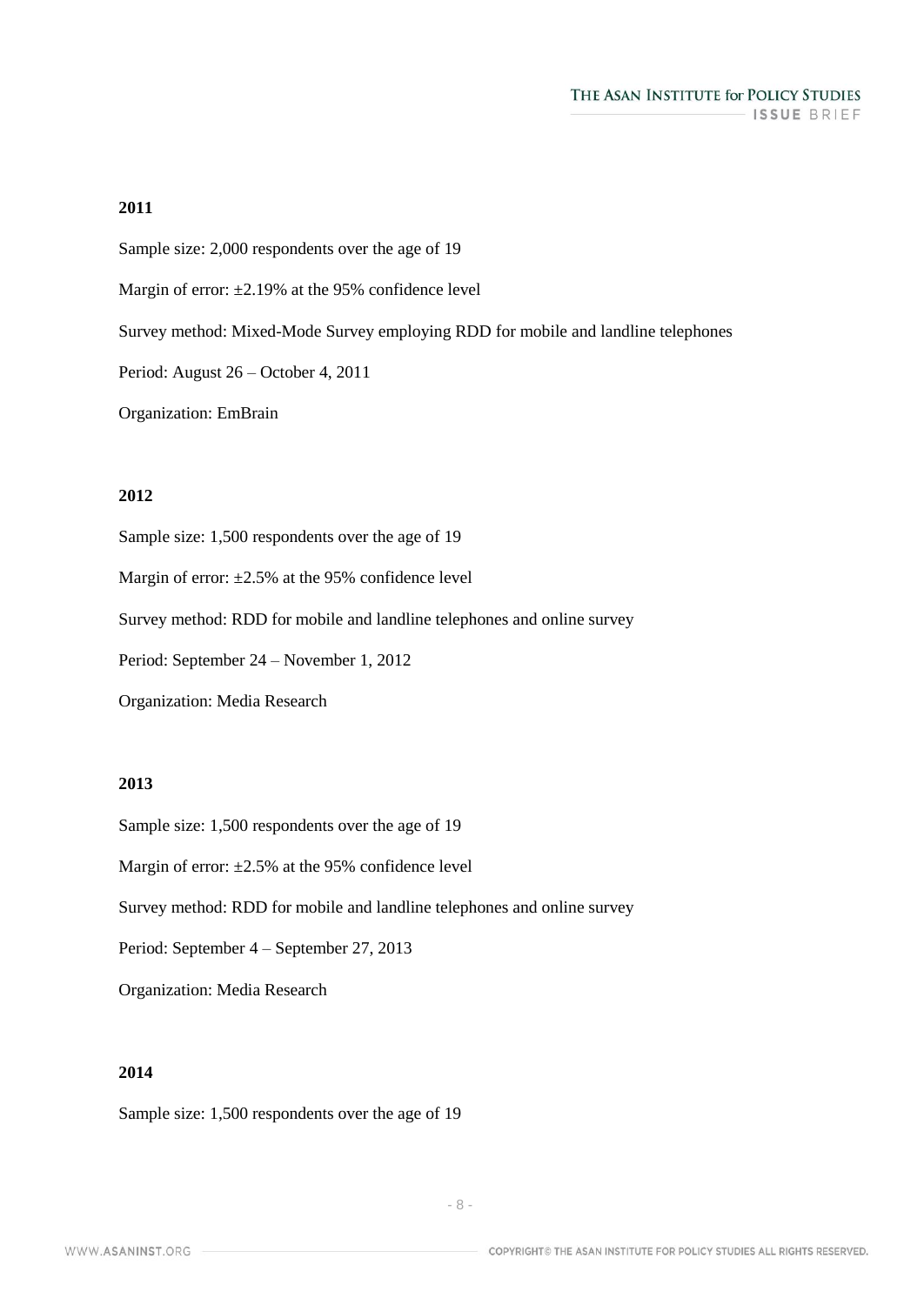#### **2011**

Sample size: 2,000 respondents over the age of 19

Margin of error:  $\pm 2.19\%$  at the 95% confidence level

Survey method: Mixed-Mode Survey employing RDD for mobile and landline telephones

Period: August 26 – October 4, 2011

Organization: EmBrain

#### **2012**

Sample size: 1,500 respondents over the age of 19

Margin of error:  $\pm 2.5\%$  at the 95% confidence level

Survey method: RDD for mobile and landline telephones and online survey

Period: September 24 – November 1, 2012

Organization: Media Research

#### **2013**

Sample size: 1,500 respondents over the age of 19

Margin of error:  $\pm 2.5\%$  at the 95% confidence level

Survey method: RDD for mobile and landline telephones and online survey

Period: September 4 – September 27, 2013

Organization: Media Research

## **2014**

Sample size: 1,500 respondents over the age of 19

WWW.ASANINST.ORG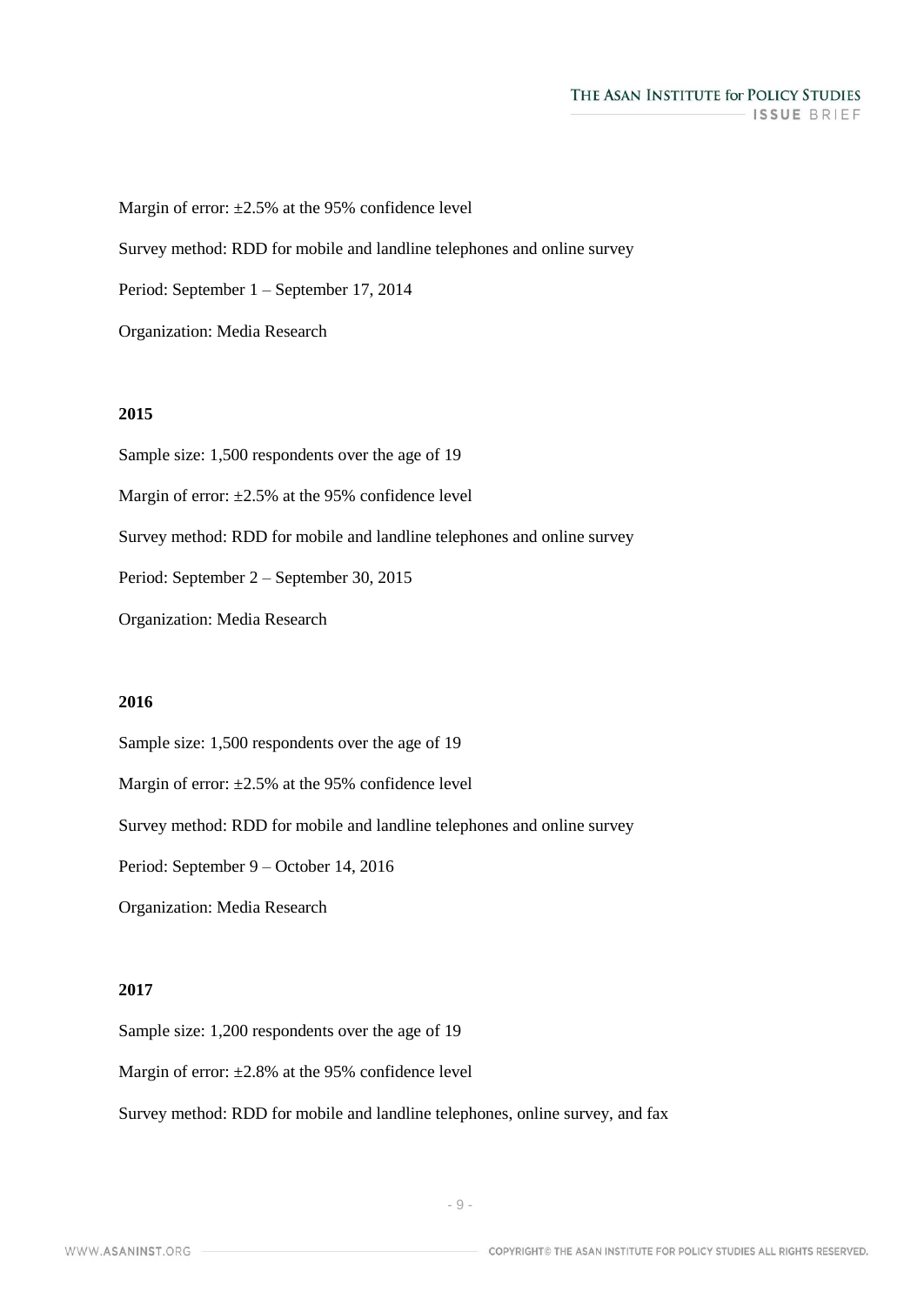#### THE ASAN INSTITUTE for POLICY STUDIES ISSUE BRIEF

Margin of error:  $\pm 2.5\%$  at the 95% confidence level

Survey method: RDD for mobile and landline telephones and online survey

Period: September 1 – September 17, 2014

Organization: Media Research

#### **2015**

Sample size: 1,500 respondents over the age of 19 Margin of error:  $\pm 2.5\%$  at the 95% confidence level Survey method: RDD for mobile and landline telephones and online survey Period: September 2 – September 30, 2015

Organization: Media Research

#### **2016**

Sample size: 1,500 respondents over the age of 19

Margin of error:  $\pm 2.5\%$  at the 95% confidence level

Survey method: RDD for mobile and landline telephones and online survey

Period: September 9 – October 14, 2016

Organization: Media Research

## **2017**

Sample size: 1,200 respondents over the age of 19

Margin of error:  $\pm 2.8\%$  at the 95% confidence level

Survey method: RDD for mobile and landline telephones, online survey, and fax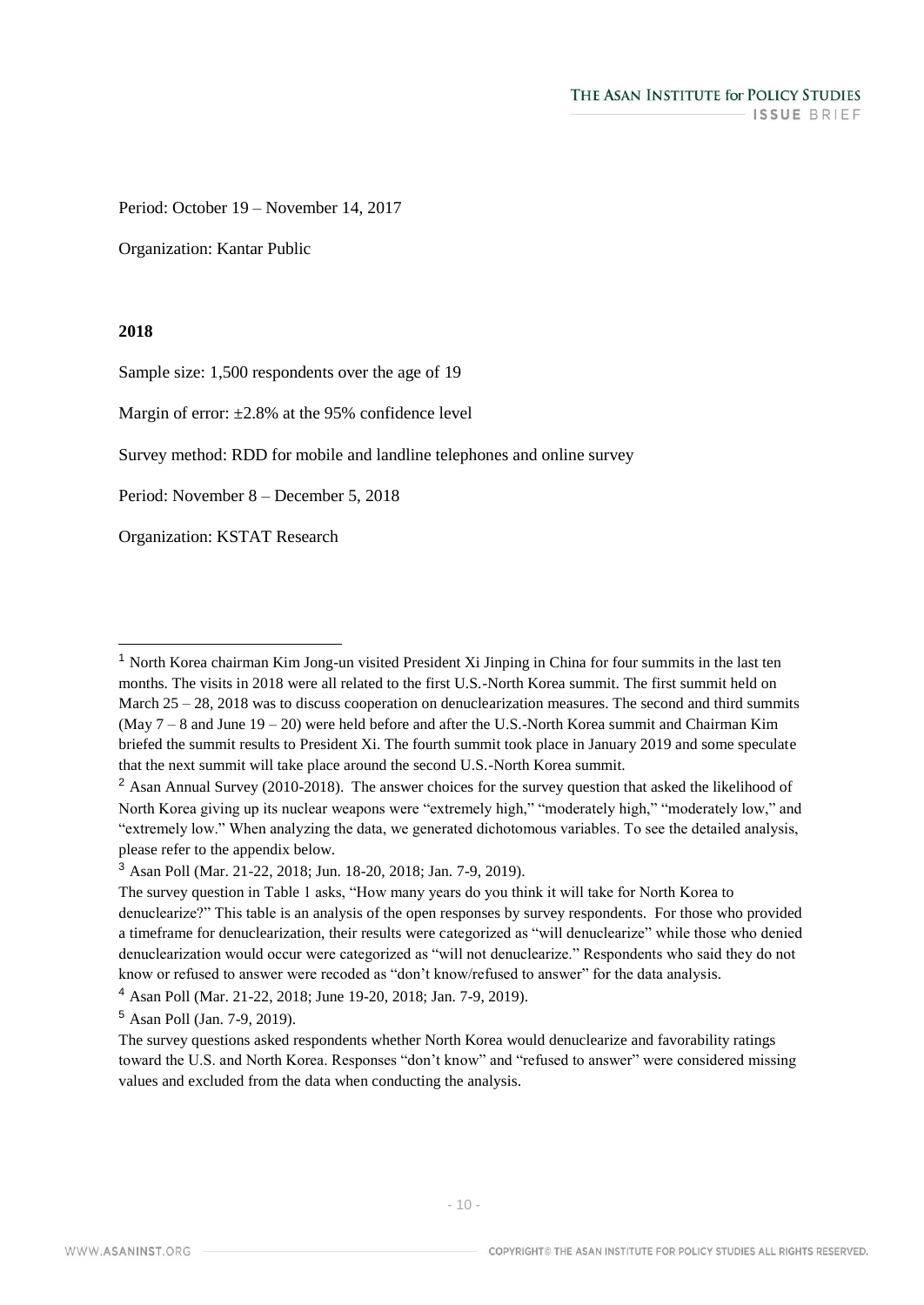Period: October 19 – November 14, 2017

Organization: Kantar Public

#### **2018**

Sample size: 1,500 respondents over the age of 19

Margin of error:  $\pm 2.8\%$  at the 95% confidence level

Survey method: RDD for mobile and landline telephones and online survey

Period: November 8 – December 5, 2018

Organization: KSTAT Research

<sup>1</sup> North Korea chairman Kim Jong-un visited President Xi Jinping in China for four summits in the last ten months. The visits in 2018 were all related to the first U.S.-North Korea summit. The first summit held on March 25 – 28, 2018 was to discuss cooperation on denuclearization measures. The second and third summits (May  $7 - 8$  and June  $19 - 20$ ) were held before and after the U.S.-North Korea summit and Chairman Kim briefed the summit results to President Xi. The fourth summit took place in January 2019 and some speculate that the next summit will take place around the second U.S.-North Korea summit.

<sup>&</sup>lt;sup>2</sup> Asan Annual Survey (2010-2018). The answer choices for the survey question that asked the likelihood of North Korea giving up its nuclear weapons were "extremely high," "moderately high," "moderately low," and "extremely low." When analyzing the data, we generated dichotomous variables. To see the detailed analysis, please refer to the appendix below.

<sup>3</sup> Asan Poll (Mar. 21-22, 2018; Jun. 18-20, 2018; Jan. 7-9, 2019).

The survey question in Table 1 asks, "How many years do you think it will take for North Korea to denuclearize?" This table is an analysis of the open responses by survey respondents. For those who provided a timeframe for denuclearization, their results were categorized as "will denuclearize" while those who denied denuclearization would occur were categorized as "will not denuclearize." Respondents who said they do not know or refused to answer were recoded as "don't know/refused to answer" for the data analysis.

<sup>4</sup> Asan Poll (Mar. 21-22, 2018; June 19-20, 2018; Jan. 7-9, 2019).

<sup>5</sup> Asan Poll (Jan. 7-9, 2019).

The survey questions asked respondents whether North Korea would denuclearize and favorability ratings toward the U.S. and North Korea. Responses "don't know" and "refused to answer" were considered missing values and excluded from the data when conducting the analysis.